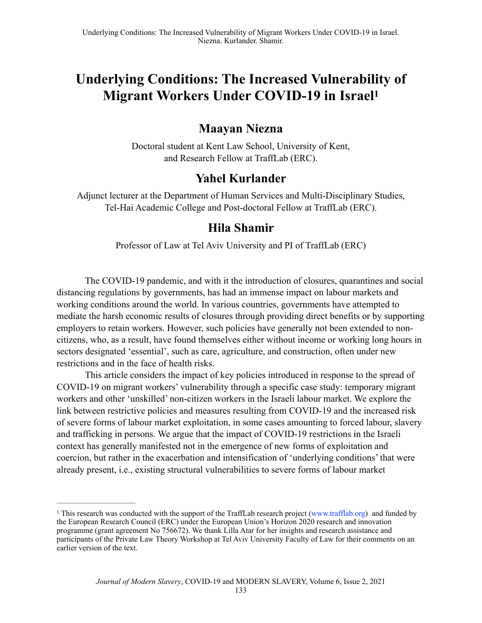# **Underlying Conditions: The Increased Vulnerability of Migrant Workers Under COVID-19 in Israel1**

# **Maayan Niezna**

Doctoral student at Kent Law School, University of Kent, and Research Fellow at TraffLab (ERC).

# **Yahel Kurlander**

Adjunct lecturer at the Department of Human Services and Multi-Disciplinary Studies, Tel-Hai Academic College and Post-doctoral Fellow at TraffLab (ERC).

# **Hila Shamir**

Professor of Law at Tel Aviv University and PI of TraffLab (ERC)

The COVID-19 pandemic, and with it the introduction of closures, quarantines and social distancing regulations by governments, has had an immense impact on labour markets and working conditions around the world. In various countries, governments have attempted to mediate the harsh economic results of closures through providing direct benefits or by supporting employers to retain workers. However, such policies have generally not been extended to noncitizens, who, as a result, have found themselves either without income or working long hours in sectors designated 'essential', such as care, agriculture, and construction, often under new restrictions and in the face of health risks.

This article considers the impact of key policies introduced in response to the spread of COVID-19 on migrant workers' vulnerability through a specific case study: temporary migrant workers and other 'unskilled' non-citizen workers in the Israeli labour market. We explore the link between restrictive policies and measures resulting from COVID-19 and the increased risk of severe forms of labour market exploitation, in some cases amounting to forced labour, slavery and trafficking in persons. We argue that the impact of COVID-19 restrictions in the Israeli context has generally manifested not in the emergence of new forms of exploitation and coercion, but rather in the exacerbation and intensification of 'underlying conditions' that were already present, i.e., existing structural vulnerabilities to severe forms of labour market

<sup>&</sup>lt;sup>1</sup> This research was conducted with the support of the TraffLab research project (www.trafflab.org) and funded by the European Research Council (ERC) under the European Union's Horizon 2020 research and innovation programme (grant agreement No 756672). We thank Lilla Atar for her insights and research assistance and participants of the Private Law Theory Workshop at Tel Aviv University Faculty of Law for their comments on an earlier version of the text.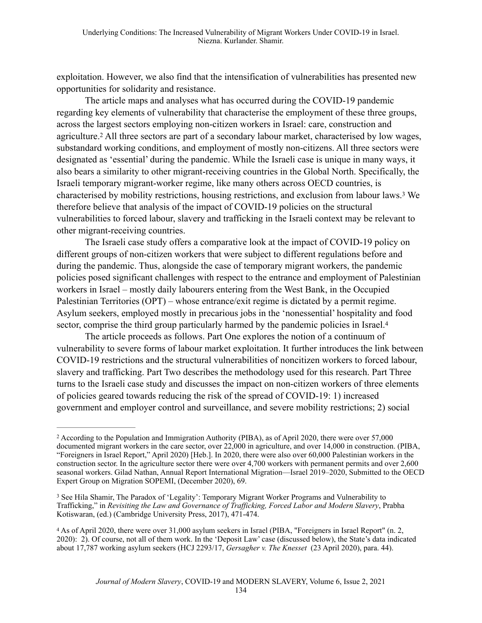exploitation. However, we also find that the intensification of vulnerabilities has presented new opportunities for solidarity and resistance.

The article maps and analyses what has occurred during the COVID-19 pandemic regarding key elements of vulnerability that characterise the employment of these three groups, across the largest sectors employing non-citizen workers in Israel: care, construction and agriculture.<sup>2</sup> All three sectors are part of a secondary labour market, characterised by low wages, substandard working conditions, and employment of mostly non-citizens. All three sectors were designated as 'essential' during the pandemic. While the Israeli case is unique in many ways, it also bears a similarity to other migrant-receiving countries in the Global North. Specifically, the Israeli temporary migrant-worker regime, like many others across OECD countries, is characterised by mobility restrictions, housing restrictions, and exclusion from labour laws.<sup>3</sup> We therefore believe that analysis of the impact of COVID-19 policies on the structural vulnerabilities to forced labour, slavery and trafficking in the Israeli context may be relevant to other migrant-receiving countries.

The Israeli case study offers a comparative look at the impact of COVID-19 policy on different groups of non-citizen workers that were subject to different regulations before and during the pandemic. Thus, alongside the case of temporary migrant workers, the pandemic policies posed significant challenges with respect to the entrance and employment of Palestinian workers in Israel – mostly daily labourers entering from the West Bank, in the Occupied Palestinian Territories (OPT) – whose entrance/exit regime is dictated by a permit regime. Asylum seekers, employed mostly in precarious jobs in the 'nonessential' hospitality and food sector, comprise the third group particularly harmed by the pandemic policies in Israel.<sup>4</sup>

The article proceeds as follows. Part One explores the notion of a continuum of vulnerability to severe forms of labour market exploitation. It further introduces the link between COVID-19 restrictions and the structural vulnerabilities of noncitizen workers to forced labour, slavery and trafficking. Part Two describes the methodology used for this research. Part Three turns to the Israeli case study and discusses the impact on non-citizen workers of three elements of policies geared towards reducing the risk of the spread of COVID-19: 1) increased government and employer control and surveillance, and severe mobility restrictions; 2) social

According to the Population and Immigration Authority (PIBA), as of April 2020, there were over 57,000 2 documented migrant workers in the care sector, over 22,000 in agriculture, and over 14,000 in construction. (PIBA, "Foreigners in Israel Report," April 2020) [Heb.]. In 2020, there were also over 60,000 Palestinian workers in the construction sector. In the agriculture sector there were over 4,700 workers with permanent permits and over 2,600 seasonal workers. Gilad Nathan, Annual Report International Migration—Israel 2019–2020, Submitted to the OECD Expert Group on Migration SOPEMI, (December 2020), 69.

<sup>&</sup>lt;sup>3</sup> See Hila Shamir, The Paradox of 'Legality': Temporary Migrant Worker Programs and Vulnerability to Trafficking," in *Revisiting the Law and Governance of Trafficking, Forced Labor and Modern Slavery*, Prabha Kotiswaran, (ed.) (Cambridge University Press, 2017), 471-474.

As of April 2020, there were over 31,000 asylum seekers in Israel (PIBA, "Foreigners in Israel Report" (n. 2, 4 2020): 2). Of course, not all of them work. In the 'Deposit Law' case (discussed below), the State's data indicated about 17,787 working asylum seekers (HCJ 2293/17, *Gersagher v. The Knesset* (23 April 2020), para. 44).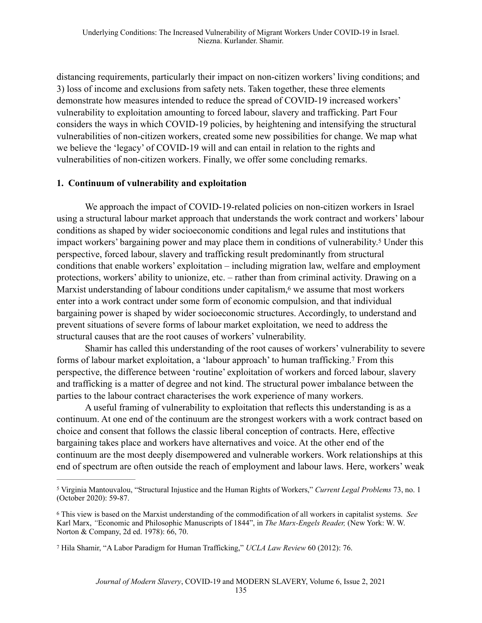distancing requirements, particularly their impact on non-citizen workers' living conditions; and 3) loss of income and exclusions from safety nets. Taken together, these three elements demonstrate how measures intended to reduce the spread of COVID-19 increased workers' vulnerability to exploitation amounting to forced labour, slavery and trafficking. Part Four considers the ways in which COVID-19 policies, by heightening and intensifying the structural vulnerabilities of non-citizen workers, created some new possibilities for change. We map what we believe the 'legacy' of COVID-19 will and can entail in relation to the rights and vulnerabilities of non-citizen workers. Finally, we offer some concluding remarks.

#### **1. Continuum of vulnerability and exploitation**

We approach the impact of COVID-19-related policies on non-citizen workers in Israel using a structural labour market approach that understands the work contract and workers' labour conditions as shaped by wider socioeconomic conditions and legal rules and institutions that impact workers' bargaining power and may place them in conditions of vulnerability.<sup>5</sup> Under this perspective, forced labour, slavery and trafficking result predominantly from structural conditions that enable workers' exploitation – including migration law, welfare and employment protections, workers' ability to unionize, etc. – rather than from criminal activity. Drawing on a Marxist understanding of labour conditions under capitalism, $6$  we assume that most workers enter into a work contract under some form of economic compulsion, and that individual bargaining power is shaped by wider socioeconomic structures. Accordingly, to understand and prevent situations of severe forms of labour market exploitation, we need to address the structural causes that are the root causes of workers' vulnerability.

Shamir has called this understanding of the root causes of workers' vulnerability to severe forms of labour market exploitation, a 'labour approach' to human trafficking.<sup>7</sup> From this perspective, the difference between 'routine' exploitation of workers and forced labour, slavery and trafficking is a matter of degree and not kind. The structural power imbalance between the parties to the labour contract characterises the work experience of many workers.

A useful framing of vulnerability to exploitation that reflects this understanding is as a continuum. At one end of the continuum are the strongest workers with a work contract based on choice and consent that follows the classic liberal conception of contracts. Here, effective bargaining takes place and workers have alternatives and voice. At the other end of the continuum are the most deeply disempowered and vulnerable workers. Work relationships at this end of spectrum are often outside the reach of employment and labour laws. Here, workers' weak

Virginia Mantouvalou, "Structural Injustice and the Human Rights of Workers," *Current Legal Problems* 73, no. 1 5 (October 2020): 59-87.

<sup>6</sup> This view is based on the Marxist understanding of the commodification of all workers in capitalist systems. *See* Karl Marx, *"*Economic and Philosophic Manuscripts of 1844", in *The Marx-Engels Reader,* (New York: W. W. Norton & Company, 2d ed. 1978): 66, 70.

<sup>&</sup>lt;sup>7</sup> Hila Shamir, "A Labor Paradigm for Human Trafficking," *UCLA Law Review* 60 (2012): 76.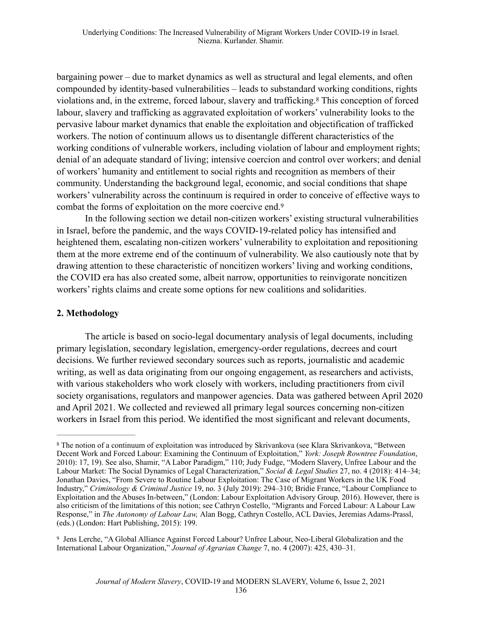bargaining power – due to market dynamics as well as structural and legal elements, and often compounded by identity-based vulnerabilities – leads to substandard working conditions, rights violations and, in the extreme, forced labour, slavery and trafficking.<sup>8</sup> This conception of forced labour, slavery and trafficking as aggravated exploitation of workers' vulnerability looks to the pervasive labour market dynamics that enable the exploitation and objectification of trafficked workers. The notion of continuum allows us to disentangle different characteristics of the working conditions of vulnerable workers, including violation of labour and employment rights; denial of an adequate standard of living; intensive coercion and control over workers; and denial of workers' humanity and entitlement to social rights and recognition as members of their community. Understanding the background legal, economic, and social conditions that shape workers' vulnerability across the continuum is required in order to conceive of effective ways to combat the forms of exploitation on the more coercive end.9

In the following section we detail non-citizen workers' existing structural vulnerabilities in Israel, before the pandemic, and the ways COVID-19-related policy has intensified and heightened them, escalating non-citizen workers' vulnerability to exploitation and repositioning them at the more extreme end of the continuum of vulnerability. We also cautiously note that by drawing attention to these characteristic of noncitizen workers' living and working conditions, the COVID era has also created some, albeit narrow, opportunities to reinvigorate noncitizen workers' rights claims and create some options for new coalitions and solidarities.

#### **2. Methodology**

The article is based on socio-legal documentary analysis of legal documents, including primary legislation, secondary legislation, emergency-order regulations, decrees and court decisions. We further reviewed secondary sources such as reports, journalistic and academic writing, as well as data originating from our ongoing engagement, as researchers and activists, with various stakeholders who work closely with workers, including practitioners from civil society organisations, regulators and manpower agencies. Data was gathered between April 2020 and April 2021. We collected and reviewed all primary legal sources concerning non-citizen workers in Israel from this period. We identified the most significant and relevant documents,

<sup>&</sup>lt;sup>8</sup> The notion of a continuum of exploitation was introduced by Skrivankova (see Klara Skrivankova, "Between Decent Work and Forced Labour: Examining the Continuum of Exploitation," *York: Joseph Rowntree Foundation*, 2010): 17, 19). See also, Shamir, "A Labor Paradigm," 110; Judy Fudge, "Modern Slavery, Unfree Labour and the Labour Market: The Social Dynamics of Legal Characterization," *Social & Legal Studies* 27, no. 4 (2018): 414–34; Jonathan Davies, "From Severe to Routine Labour Exploitation: The Case of Migrant Workers in the UK Food Industry," *Criminology & Criminal Justice* 19, no. 3 (July 2019): 294–310; Bridie France, "Labour Compliance to Exploitation and the Abuses In-between," (London: Labour Exploitation Advisory Group*,* 2016). However, there is also criticism of the limitations of this notion; see Cathryn Costello, "Migrants and Forced Labour: A Labour Law Response," in *The Autonomy of Labour Law,* Alan Bogg, Cathryn Costello, ACL Davies, Jeremias Adams-Prassl, (eds.) (London: Hart Publishing, 2015): 199.

<sup>&</sup>lt;sup>9</sup> Jens Lerche, "A Global Alliance Against Forced Labour? Unfree Labour, Neo-Liberal Globalization and the International Labour Organization," *Journal of Agrarian Change* 7, no. 4 (2007): 425, 430–31.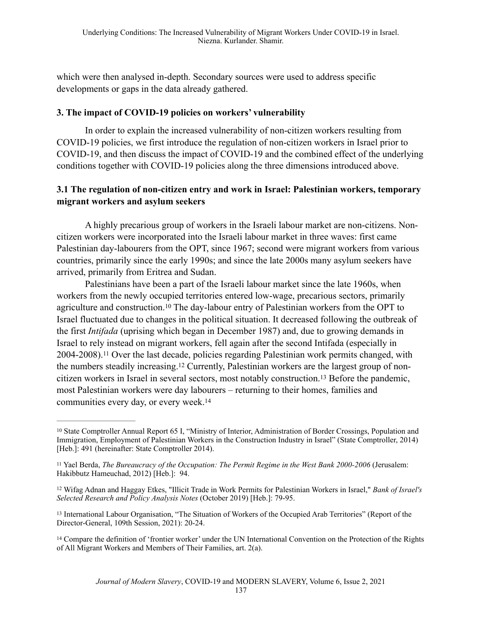which were then analysed in-depth. Secondary sources were used to address specific developments or gaps in the data already gathered.

#### **3. The impact of COVID-19 policies on workers' vulnerability**

In order to explain the increased vulnerability of non-citizen workers resulting from COVID-19 policies, we first introduce the regulation of non-citizen workers in Israel prior to COVID-19, and then discuss the impact of COVID-19 and the combined effect of the underlying conditions together with COVID-19 policies along the three dimensions introduced above.

### **3.1 The regulation of non-citizen entry and work in Israel: Palestinian workers, temporary migrant workers and asylum seekers**

A highly precarious group of workers in the Israeli labour market are non-citizens. Noncitizen workers were incorporated into the Israeli labour market in three waves: first came Palestinian day-labourers from the OPT, since 1967; second were migrant workers from various countries, primarily since the early 1990s; and since the late 2000s many asylum seekers have arrived, primarily from Eritrea and Sudan.

Palestinians have been a part of the Israeli labour market since the late 1960s, when workers from the newly occupied territories entered low-wage, precarious sectors, primarily agriculture and construction.<sup>10</sup> The day-labour entry of Palestinian workers from the OPT to Israel fluctuated due to changes in the political situation. It decreased following the outbreak of the first *Intifada* (uprising which began in December 1987) and, due to growing demands in Israel to rely instead on migrant workers, fell again after the second Intifada (especially in 2004-2008).<sup>11</sup> Over the last decade, policies regarding Palestinian work permits changed, with the numbers steadily increasing.<sup>12</sup> Currently, Palestinian workers are the largest group of noncitizen workers in Israel in several sectors, most notably construction.<sup>13</sup> Before the pandemic, most Palestinian workers were day labourers – returning to their homes, families and communities every day, or every week.14

<sup>&</sup>lt;sup>10</sup> State Comptroller Annual Report 65 I, "Ministry of Interior, Administration of Border Crossings, Population and Immigration, Employment of Palestinian Workers in the Construction Industry in Israel" (State Comptroller, 2014) [Heb.]: 491 (hereinafter: State Comptroller 2014).

<sup>&</sup>lt;sup>11</sup> Yael Berda, *The Bureaucracy of the Occupation: The Permit Regime in the West Bank 2000-2006* (Jerusalem: Hakibbutz Hameuchad, 2012) [Heb.]: 94.

<sup>&</sup>lt;sup>12</sup> Wifag Adnan and Haggay Etkes, "Illicit Trade in Work Permits for Palestinian Workers in Israel," *Bank of Israel's Selected Research and Policy Analysis Notes* (October 2019) [Heb.]: 79-95.

<sup>&</sup>lt;sup>13</sup> International Labour Organisation, "The Situation of Workers of the Occupied Arab Territories" (Report of the Director-General, 109th Session, 2021): 20-24.

<sup>&</sup>lt;sup>14</sup> Compare the definition of 'frontier worker' under the UN International Convention on the Protection of the Rights of All Migrant Workers and Members of Their Families, art. 2(a).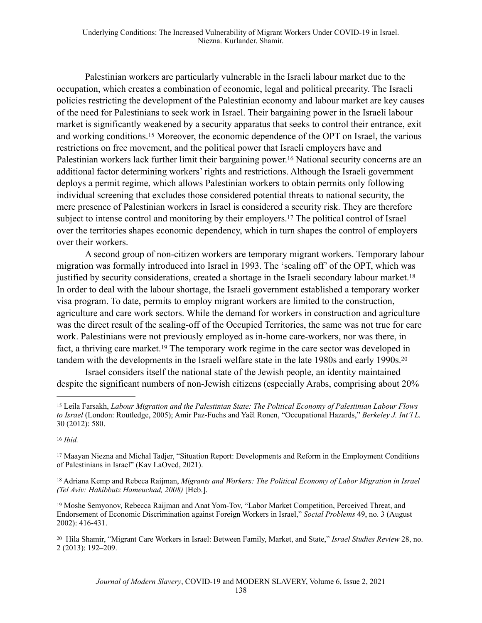Palestinian workers are particularly vulnerable in the Israeli labour market due to the occupation, which creates a combination of economic, legal and political precarity. The Israeli policies restricting the development of the Palestinian economy and labour market are key causes of the need for Palestinians to seek work in Israel. Their bargaining power in the Israeli labour market is significantly weakened by a security apparatus that seeks to control their entrance, exit and working conditions.<sup>15</sup> Moreover, the economic dependence of the OPT on Israel, the various restrictions on free movement, and the political power that Israeli employers have and Palestinian workers lack further limit their bargaining power.<sup>16</sup> National security concerns are an additional factor determining workers' rights and restrictions. Although the Israeli government deploys a permit regime, which allows Palestinian workers to obtain permits only following individual screening that excludes those considered potential threats to national security, the mere presence of Palestinian workers in Israel is considered a security risk. They are therefore subject to intense control and monitoring by their employers.<sup>17</sup> The political control of Israel over the territories shapes economic dependency, which in turn shapes the control of employers over their workers.

A second group of non-citizen workers are temporary migrant workers. Temporary labour migration was formally introduced into Israel in 1993. The 'sealing off' of the OPT, which was justified by security considerations, created a shortage in the Israeli secondary labour market.<sup>18</sup> In order to deal with the labour shortage, the Israeli government established a temporary worker visa program. To date, permits to employ migrant workers are limited to the construction, agriculture and care work sectors. While the demand for workers in construction and agriculture was the direct result of the sealing-off of the Occupied Territories, the same was not true for care work. Palestinians were not previously employed as in-home care-workers, nor was there, in fact, a thriving care market.<sup>19</sup> The temporary work regime in the care sector was developed in tandem with the developments in the Israeli welfare state in the late 1980s and early 1990s.20

Israel considers itself the national state of the Jewish people, an identity maintained despite the significant numbers of non-Jewish citizens (especially Arabs, comprising about 20%

<sup>19</sup> Moshe Semyonov, Rebecca Raijman and Anat Yom-Tov, "Labor Market Competition, Perceived Threat, and Endorsement of Economic Discrimination against Foreign Workers in Israel," *Social Problems* 49, no. 3 (August 2002): 416-431.

Leila Farsakh, *Labour Migration and the Palestinian State: The Political Economy of Palestinian Labour Flows* <sup>15</sup> *to Israel* (London: Routledge, 2005); Amir Paz-Fuchs and Yaël Ronen, "Occupational Hazards," *Berkeley J. Int'l L.* 30 (2012): 580.

*Ibid.* <sup>16</sup>

<sup>&</sup>lt;sup>17</sup> Maayan Niezna and Michal Tadjer, "Situation Report: Developments and Reform in the Employment Conditions of Palestinians in Israel" (Kav LaOved, 2021).

<sup>&</sup>lt;sup>18</sup> Adriana Kemp and Rebeca Raijman, *Migrants and Workers: The Political Economy of Labor Migration in Israel (Tel Aviv: Hakibbutz Hameuchad, 2008)* [Heb.].

<sup>&</sup>lt;sup>20</sup> Hila Shamir, "Migrant Care Workers in Israel: Between Family, Market, and State," *Israel Studies Review* 28, no. 2 (2013): 192–209.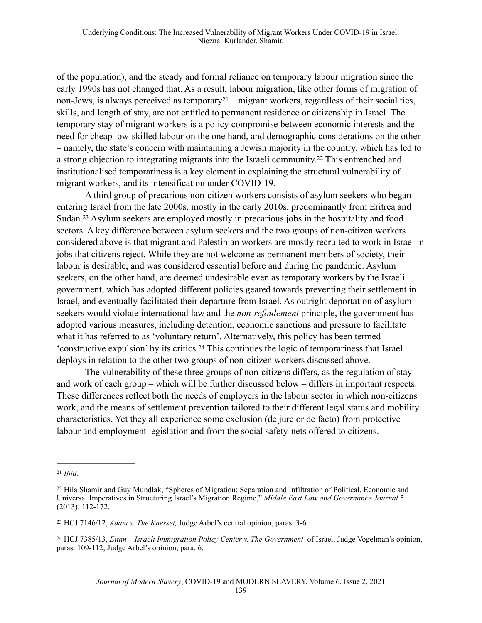of the population), and the steady and formal reliance on temporary labour migration since the early 1990s has not changed that. As a result, labour migration, like other forms of migration of non-Jews, is always perceived as temporary  $21 -$  migrant workers, regardless of their social ties, skills, and length of stay, are not entitled to permanent residence or citizenship in Israel. The temporary stay of migrant workers is a policy compromise between economic interests and the need for cheap low-skilled labour on the one hand, and demographic considerations on the other – namely, the state's concern with maintaining a Jewish majority in the country, which has led to a strong objection to integrating migrants into the Israeli community.<sup>22</sup> This entrenched and institutionalised temporariness is a key element in explaining the structural vulnerability of migrant workers, and its intensification under COVID-19.

A third group of precarious non-citizen workers consists of asylum seekers who began entering Israel from the late 2000s, mostly in the early 2010s, predominantly from Eritrea and Sudan.<sup>23</sup> Asylum seekers are employed mostly in precarious jobs in the hospitality and food sectors. A key difference between asylum seekers and the two groups of non-citizen workers considered above is that migrant and Palestinian workers are mostly recruited to work in Israel in jobs that citizens reject. While they are not welcome as permanent members of society, their labour is desirable, and was considered essential before and during the pandemic. Asylum seekers, on the other hand, are deemed undesirable even as temporary workers by the Israeli government, which has adopted different policies geared towards preventing their settlement in Israel, and eventually facilitated their departure from Israel. As outright deportation of asylum seekers would violate international law and the *non-refoulement* principle, the government has adopted various measures, including detention, economic sanctions and pressure to facilitate what it has referred to as 'voluntary return'. Alternatively, this policy has been termed 'constructive expulsion' by its critics.<sup>24</sup> This continues the logic of temporariness that Israel deploys in relation to the other two groups of non-citizen workers discussed above.

The vulnerability of these three groups of non-citizens differs, as the regulation of stay and work of each group – which will be further discussed below – differs in important respects. These differences reflect both the needs of employers in the labour sector in which non-citizens work, and the means of settlement prevention tailored to their different legal status and mobility characteristics. Yet they all experience some exclusion (de jure or de facto) from protective labour and employment legislation and from the social safety-nets offered to citizens.

*Ibid*. <sup>21</sup>

<sup>&</sup>lt;sup>22</sup> Hila Shamir and Guy Mundlak, "Spheres of Migration: Separation and Infiltration of Political, Economic and Universal Imperatives in Structuring Israel's Migration Regime," *Middle East Law and Governance Journal* 5 (2013): 112-172.

<sup>&</sup>lt;sup>23</sup> HCJ 7146/12, *Adam v. The Knesset*, Judge Arbel's central opinion, paras. 3-6.

<sup>&</sup>lt;sup>24</sup> HCJ 7385/13, *Eitan – Israeli Immigration Policy Center v. The Government* of Israel, Judge Vogelman's opinion, paras. 109-112; Judge Arbel's opinion, para. 6.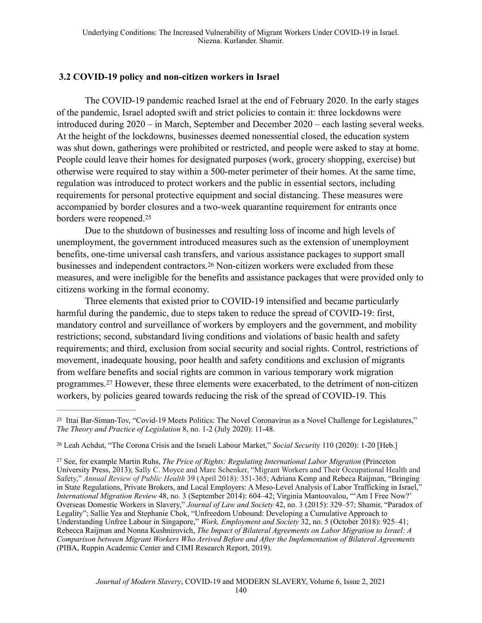### **3.2 COVID-19 policy and non-citizen workers in Israel**

The COVID-19 pandemic reached Israel at the end of February 2020. In the early stages of the pandemic, Israel adopted swift and strict policies to contain it: three lockdowns were introduced during 2020 – in March, September and December 2020 – each lasting several weeks. At the height of the lockdowns, businesses deemed nonessential closed, the education system was shut down, gatherings were prohibited or restricted, and people were asked to stay at home. People could leave their homes for designated purposes (work, grocery shopping, exercise) but otherwise were required to stay within a 500-meter perimeter of their homes. At the same time, regulation was introduced to protect workers and the public in essential sectors, including requirements for personal protective equipment and social distancing. These measures were accompanied by border closures and a two-week quarantine requirement for entrants once borders were reopened.25

Due to the shutdown of businesses and resulting loss of income and high levels of unemployment, the government introduced measures such as the extension of unemployment benefits, one-time universal cash transfers, and various assistance packages to support small businesses and independent contractors.<sup>26</sup> Non-citizen workers were excluded from these measures, and were ineligible for the benefits and assistance packages that were provided only to citizens working in the formal economy.

Three elements that existed prior to COVID-19 intensified and became particularly harmful during the pandemic, due to steps taken to reduce the spread of COVID-19: first, mandatory control and surveillance of workers by employers and the government, and mobility restrictions; second, substandard living conditions and violations of basic health and safety requirements; and third, exclusion from social security and social rights. Control, restrictions of movement, inadequate housing, poor health and safety conditions and exclusion of migrants from welfare benefits and social rights are common in various temporary work migration programmes.<sup>27</sup> However, these three elements were exacerbated, to the detriment of non-citizen workers, by policies geared towards reducing the risk of the spread of COVID-19. This

<sup>&</sup>lt;sup>25</sup> Ittai Bar-Siman-Tov, "Covid-19 Meets Politics: The Novel Coronavirus as a Novel Challenge for Legislatures," *The Theory and Practice of Legislation* 8, no. 1-2 (July 2020): 11-48.

Leah Achdut, "The Corona Crisis and the Israeli Labour Market," *Social Security* 110 (2020): 1-20 [Heb.] <sup>26</sup>

See, for example Martin Ruhs, *The Price of Rights: Regulating International Labor Migration* (Princeton 27 University Press, 2013); Sally C. Moyce and Marc Schenker, "Migrant Workers and Their Occupational Health and Safety," *Annual Review of Public Health* 39 (April 2018): 351-365; Adriana Kemp and Rebeca Raijman, "Bringing in State Regulations, Private Brokers, and Local Employers: A Meso-Level Analysis of Labor Trafficking in Israel," *International Migration Review* 48, no. 3 (September 2014): 604–42; Virginia Mantouvalou, "'Am I Free Now?' Overseas Domestic Workers in Slavery," *Journal of Law and Society* 42, no. 3 (2015): 329–57; Shamir, "Paradox of Legality"; Sallie Yea and Stephanie Chok, "Unfreedom Unbound: Developing a Cumulative Approach to Understanding Unfree Labour in Singapore," *Work, Employment and Society* 32, no. 5 (October 2018): 925–41; Rebecca Raijman and Nonna Kushnirovich, *The Impact of Bilateral Agreements on Labor Migration to Israel: A Comparison between Migrant Workers Who Arrived Before and After the Implementation of Bilateral Agreements* (PIBA, Ruppin Academic Center and CIMI Research Report, 2019).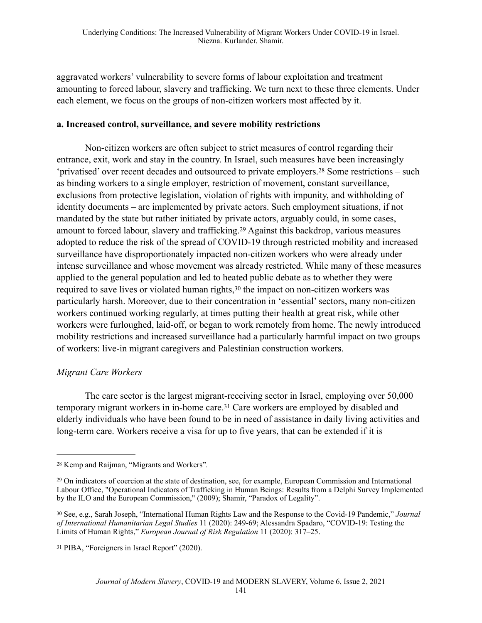aggravated workers' vulnerability to severe forms of labour exploitation and treatment amounting to forced labour, slavery and trafficking. We turn next to these three elements. Under each element, we focus on the groups of non-citizen workers most affected by it.

#### **a. Increased control, surveillance, and severe mobility restrictions**

Non-citizen workers are often subject to strict measures of control regarding their entrance, exit, work and stay in the country. In Israel, such measures have been increasingly 'privatised' over recent decades and outsourced to private employers.<sup>28</sup> Some restrictions – such as binding workers to a single employer, restriction of movement, constant surveillance, exclusions from protective legislation, violation of rights with impunity, and withholding of identity documents – are implemented by private actors. Such employment situations, if not mandated by the state but rather initiated by private actors, arguably could, in some cases, amount to forced labour, slavery and trafficking.<sup>29</sup> Against this backdrop, various measures adopted to reduce the risk of the spread of COVID-19 through restricted mobility and increased surveillance have disproportionately impacted non-citizen workers who were already under intense surveillance and whose movement was already restricted. While many of these measures applied to the general population and led to heated public debate as to whether they were required to save lives or violated human rights, $30$  the impact on non-citizen workers was particularly harsh. Moreover, due to their concentration in 'essential' sectors, many non-citizen workers continued working regularly, at times putting their health at great risk, while other workers were furloughed, laid-off, or began to work remotely from home. The newly introduced mobility restrictions and increased surveillance had a particularly harmful impact on two groups of workers: live-in migrant caregivers and Palestinian construction workers.

#### *Migrant Care Workers*

The care sector is the largest migrant-receiving sector in Israel, employing over 50,000 temporary migrant workers in in-home care.<sup>31</sup> Care workers are employed by disabled and elderly individuals who have been found to be in need of assistance in daily living activities and long-term care. Workers receive a visa for up to five years, that can be extended if it is

Kemp and Raijman, "Migrants and Workers"*.* <sup>28</sup>

<sup>&</sup>lt;sup>29</sup> On indicators of coercion at the state of destination, see, for example, European Commission and International Labour Office, "Operational Indicators of Trafficking in Human Beings: Results from a Delphi Survey Implemented by the ILO and the European Commission," (2009); Shamir, "Paradox of Legality".

See, e.g., Sarah Joseph, "International Human Rights Law and the Response to the Covid-19 Pandemic," *Journal* <sup>30</sup> *of International Humanitarian Legal Studies* 11 (2020): 249-69; Alessandra Spadaro, "COVID-19: Testing the Limits of Human Rights," *European Journal of Risk Regulation* 11 (2020): 317–25.

<sup>&</sup>lt;sup>31</sup> PIBA, "Foreigners in Israel Report" (2020).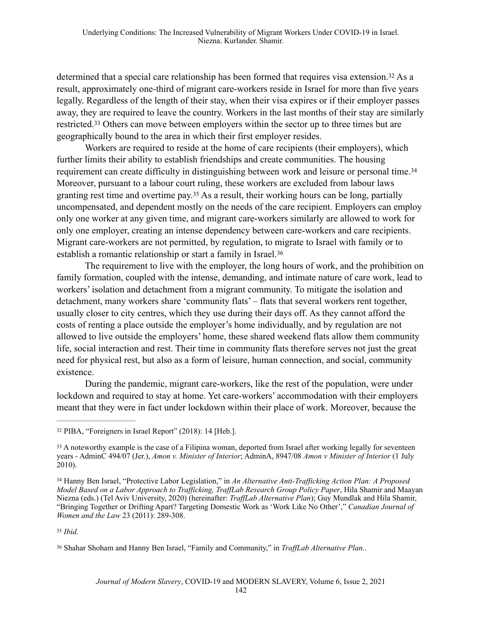determined that a special care relationship has been formed that requires visa extension.<sup>32</sup> As a result, approximately one-third of migrant care-workers reside in Israel for more than five years legally. Regardless of the length of their stay, when their visa expires or if their employer passes away, they are required to leave the country. Workers in the last months of their stay are similarly restricted.<sup>33</sup> Others can move between employers within the sector up to three times but are geographically bound to the area in which their first employer resides.

Workers are required to reside at the home of care recipients (their employers), which further limits their ability to establish friendships and create communities. The housing requirement can create difficulty in distinguishing between work and leisure or personal time.34 Moreover, pursuant to a labour court ruling, these workers are excluded from labour laws granting rest time and overtime pay.<sup>35</sup> As a result, their working hours can be long, partially uncompensated, and dependent mostly on the needs of the care recipient. Employers can employ only one worker at any given time, and migrant care-workers similarly are allowed to work for only one employer, creating an intense dependency between care-workers and care recipients. Migrant care-workers are not permitted, by regulation, to migrate to Israel with family or to establish a romantic relationship or start a family in Israel.36

The requirement to live with the employer, the long hours of work, and the prohibition on family formation, coupled with the intense, demanding, and intimate nature of care work, lead to workers' isolation and detachment from a migrant community. To mitigate the isolation and detachment, many workers share 'community flats' – flats that several workers rent together, usually closer to city centres, which they use during their days off. As they cannot afford the costs of renting a place outside the employer's home individually, and by regulation are not allowed to live outside the employers' home, these shared weekend flats allow them community life, social interaction and rest. Their time in community flats therefore serves not just the great need for physical rest, but also as a form of leisure, human connection, and social, community existence.

During the pandemic, migrant care-workers, like the rest of the population, were under lockdown and required to stay at home. Yet care-workers' accommodation with their employers meant that they were in fact under lockdown within their place of work. Moreover, because the

*Ibid.* <sup>35</sup>

Shahar Shoham and Hanny Ben Israel, "Family and Community," in *TraffLab Alternative Plan.*. 36

<sup>&</sup>lt;sup>32</sup> PIBA, "Foreigners in Israel Report" (2018): 14 [Heb.].

<sup>&</sup>lt;sup>33</sup> A noteworthy example is the case of a Filipina woman, deported from Israel after working legally for seventeen years - AdminC 494/07 (Jer.), *Amon v. Minister of Interior*; AdminA, 8947/08 *Amon v Minister of Interior* (1 July 2010).

Hanny Ben Israel, "Protective Labor Legislation," in *An Alternative Anti-Trafficking Action Plan: A Proposed* <sup>34</sup> *Model Based on a Labor Approach to Trafficking, TraffLab Research Group Policy Paper*, Hila Shamir and Maayan Niezna (eds.) (Tel Aviv University, 2020) (hereinafter: *TraffLab Alternative Plan*); Guy Mundlak and Hila Shamir, "Bringing Together or Drifting Apart? Targeting Domestic Work as 'Work Like No Other'," *Canadian Journal of Women and the Law* 23 (2011): 289-308.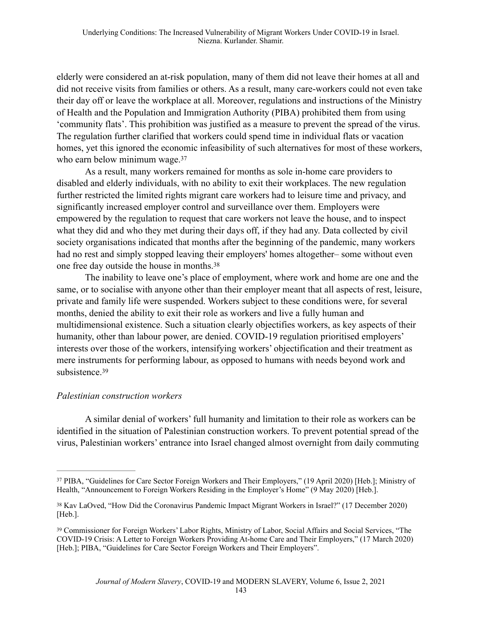elderly were considered an at-risk population, many of them did not leave their homes at all and did not receive visits from families or others. As a result, many care-workers could not even take their day off or leave the workplace at all. Moreover, regulations and instructions of the Ministry of Health and the Population and Immigration Authority (PIBA) prohibited them from using 'community flats'. This prohibition was justified as a measure to prevent the spread of the virus. The regulation further clarified that workers could spend time in individual flats or vacation homes, yet this ignored the economic infeasibility of such alternatives for most of these workers, who earn below minimum wage.<sup>37</sup>

As a result, many workers remained for months as sole in-home care providers to disabled and elderly individuals, with no ability to exit their workplaces. The new regulation further restricted the limited rights migrant care workers had to leisure time and privacy, and significantly increased employer control and surveillance over them. Employers were empowered by the regulation to request that care workers not leave the house, and to inspect what they did and who they met during their days off, if they had any. Data collected by civil society organisations indicated that months after the beginning of the pandemic, many workers had no rest and simply stopped leaving their employers' homes altogether– some without even one free day outside the house in months.38

The inability to leave one's place of employment, where work and home are one and the same, or to socialise with anyone other than their employer meant that all aspects of rest, leisure, private and family life were suspended. Workers subject to these conditions were, for several months, denied the ability to exit their role as workers and live a fully human and multidimensional existence. Such a situation clearly objectifies workers, as key aspects of their humanity, other than labour power, are denied. COVID-19 regulation prioritised employers' interests over those of the workers, intensifying workers' objectification and their treatment as mere instruments for performing labour, as opposed to humans with needs beyond work and subsistence 39

#### *Palestinian construction workers*

A similar denial of workers' full humanity and limitation to their role as workers can be identified in the situation of Palestinian construction workers. To prevent potential spread of the virus, Palestinian workers' entrance into Israel changed almost overnight from daily commuting

<sup>&</sup>lt;sup>37</sup> PIBA, "Guidelines for Care Sector Foreign Workers and Their Employers," (19 April 2020) [Heb.]; Ministry of Health, "Announcement to Foreign Workers Residing in the Employer's Home" (9 May 2020) [Heb.].

<sup>&</sup>lt;sup>38</sup> Kav LaOved, "How Did the Coronavirus Pandemic Impact Migrant Workers in Israel?" (17 December 2020) [Heb.].

<sup>&</sup>lt;sup>39</sup> Commissioner for Foreign Workers' Labor Rights, Ministry of Labor, Social Affairs and Social Services, "The COVID-19 Crisis: A Letter to Foreign Workers Providing At-home Care and Their Employers," (17 March 2020) [Heb.]; PIBA, "Guidelines for Care Sector Foreign Workers and Their Employers".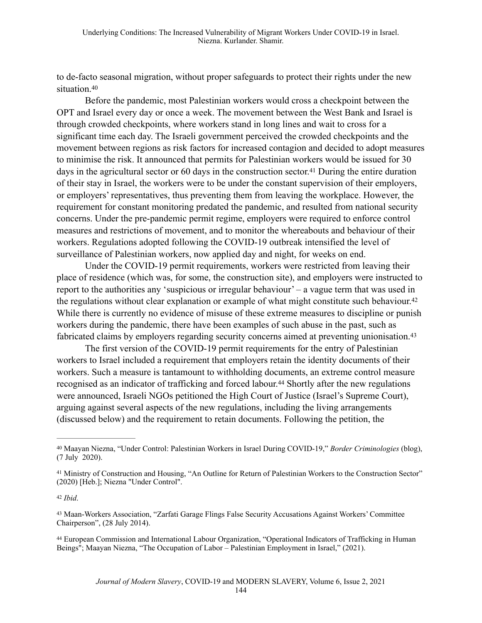to de-facto seasonal migration, without proper safeguards to protect their rights under the new situation.<sup>40</sup>

Before the pandemic, most Palestinian workers would cross a checkpoint between the OPT and Israel every day or once a week. The movement between the West Bank and Israel is through crowded checkpoints, where workers stand in long lines and wait to cross for a significant time each day. The Israeli government perceived the crowded checkpoints and the movement between regions as risk factors for increased contagion and decided to adopt measures to minimise the risk. It announced that permits for Palestinian workers would be issued for 30 days in the agricultural sector or 60 days in the construction sector.<sup>41</sup> During the entire duration of their stay in Israel, the workers were to be under the constant supervision of their employers, or employers' representatives, thus preventing them from leaving the workplace. However, the requirement for constant monitoring predated the pandemic, and resulted from national security concerns. Under the pre-pandemic permit regime, employers were required to enforce control measures and restrictions of movement, and to monitor the whereabouts and behaviour of their workers. Regulations adopted following the COVID-19 outbreak intensified the level of surveillance of Palestinian workers, now applied day and night, for weeks on end.

Under the COVID-19 permit requirements, workers were restricted from leaving their place of residence (which was, for some, the construction site), and employers were instructed to report to the authorities any 'suspicious or irregular behaviour' – a vague term that was used in the regulations without clear explanation or example of what might constitute such behaviour.42 While there is currently no evidence of misuse of these extreme measures to discipline or punish workers during the pandemic, there have been examples of such abuse in the past, such as fabricated claims by employers regarding security concerns aimed at preventing unionisation.<sup>43</sup>

The first version of the COVID-19 permit requirements for the entry of Palestinian workers to Israel included a requirement that employers retain the identity documents of their workers. Such a measure is tantamount to withholding documents, an extreme control measure recognised as an indicator of trafficking and forced labour.<sup>44</sup> Shortly after the new regulations were announced, Israeli NGOs petitioned the High Court of Justice (Israel's Supreme Court), arguing against several aspects of the new regulations, including the living arrangements (discussed below) and the requirement to retain documents. Following the petition, the

 European Commission and International Labour Organization, "Operational Indicators of Trafficking in Human 44 Beings"; Maayan Niezna, "The Occupation of Labor – Palestinian Employment in Israel," (2021).

Maayan Niezna, "Under Control: Palestinian Workers in Israel During COVID-19," *Border Criminologies* (blog), 40 (7 July 2020).

<sup>&</sup>lt;sup>41</sup> Ministry of Construction and Housing, "An Outline for Return of Palestinian Workers to the Construction Sector" (2020) [Heb.]; Niezna "Under Control".

*Ibid*. <sup>42</sup>

<sup>43</sup> Maan-Workers Association, "Zarfati Garage Flings False Security Accusations Against Workers' Committee Chairperson", (28 July 2014).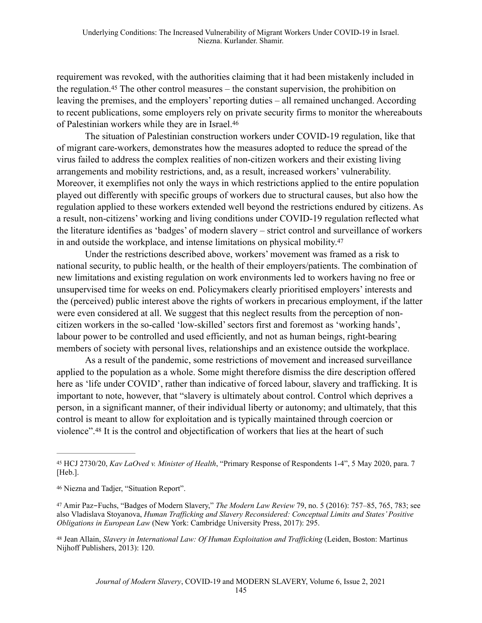requirement was revoked, with the authorities claiming that it had been mistakenly included in the regulation.<sup>45</sup> The other control measures – the constant supervision, the prohibition on leaving the premises, and the employers' reporting duties – all remained unchanged. According to recent publications, some employers rely on private security firms to monitor the whereabouts of Palestinian workers while they are in Israel.46

The situation of Palestinian construction workers under COVID-19 regulation, like that of migrant care-workers, demonstrates how the measures adopted to reduce the spread of the virus failed to address the complex realities of non-citizen workers and their existing living arrangements and mobility restrictions, and, as a result, increased workers' vulnerability. Moreover, it exemplifies not only the ways in which restrictions applied to the entire population played out differently with specific groups of workers due to structural causes, but also how the regulation applied to these workers extended well beyond the restrictions endured by citizens. As a result, non-citizens' working and living conditions under COVID-19 regulation reflected what the literature identifies as 'badges' of modern slavery – strict control and surveillance of workers in and outside the workplace, and intense limitations on physical mobility.47

Under the restrictions described above, workers' movement was framed as a risk to national security, to public health, or the health of their employers/patients. The combination of new limitations and existing regulation on work environments led to workers having no free or unsupervised time for weeks on end. Policymakers clearly prioritised employers' interests and the (perceived) public interest above the rights of workers in precarious employment, if the latter were even considered at all. We suggest that this neglect results from the perception of noncitizen workers in the so-called 'low-skilled' sectors first and foremost as 'working hands', labour power to be controlled and used efficiently, and not as human beings, right-bearing members of society with personal lives, relationships and an existence outside the workplace.

As a result of the pandemic, some restrictions of movement and increased surveillance applied to the population as a whole. Some might therefore dismiss the dire description offered here as 'life under COVID', rather than indicative of forced labour, slavery and trafficking. It is important to note, however, that "slavery is ultimately about control. Control which deprives a person, in a significant manner, of their individual liberty or autonomy; and ultimately, that this control is meant to allow for exploitation and is typically maintained through coercion or violence".<sup>48</sup> It is the control and objectification of workers that lies at the heart of such

<sup>48</sup> Jean Allain, *Slavery in International Law: Of Human Exploitation and Trafficking* (Leiden, Boston: Martinus Nijhoff Publishers, 2013): 120.

<sup>&</sup>lt;sup>45</sup> HCJ 2730/20, *Kav LaOved v. Minister of Health*, "Primary Response of Respondents 1-4", 5 May 2020, para. 7 [Heb.].

<sup>&</sup>lt;sup>46</sup> Niezna and Tadjer, "Situation Report".

<sup>&</sup>lt;sup>47</sup> Amir Paz-Fuchs, "Badges of Modern Slavery," *The Modern Law Review* 79, no. 5 (2016): 757-85, 765, 783; see also Vladislava Stoyanova, *Human Trafficking and Slavery Reconsidered: Conceptual Limits and States' Positive Obligations in European Law* (New York: Cambridge University Press, 2017): 295.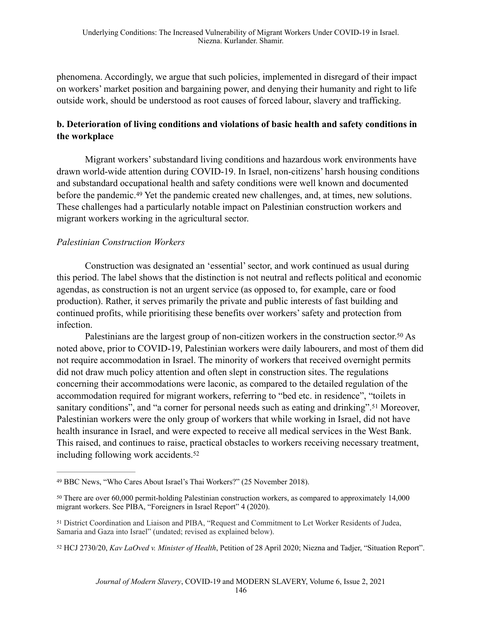phenomena. Accordingly, we argue that such policies, implemented in disregard of their impact on workers' market position and bargaining power, and denying their humanity and right to life outside work, should be understood as root causes of forced labour, slavery and trafficking.

## **b. Deterioration of living conditions and violations of basic health and safety conditions in the workplace**

Migrant workers' substandard living conditions and hazardous work environments have drawn world-wide attention during COVID-19. In Israel, non-citizens' harsh housing conditions and substandard occupational health and safety conditions were well known and documented before the pandemic.<sup>49</sup> Yet the pandemic created new challenges, and, at times, new solutions. These challenges had a particularly notable impact on Palestinian construction workers and migrant workers working in the agricultural sector.

### *Palestinian Construction Workers*

Construction was designated an 'essential' sector, and work continued as usual during this period. The label shows that the distinction is not neutral and reflects political and economic agendas, as construction is not an urgent service (as opposed to, for example, care or food production). Rather, it serves primarily the private and public interests of fast building and continued profits, while prioritising these benefits over workers' safety and protection from infection.

Palestinians are the largest group of non-citizen workers in the construction sector.<sup>50</sup> As noted above, prior to COVID-19, Palestinian workers were daily labourers, and most of them did not require accommodation in Israel. The minority of workers that received overnight permits did not draw much policy attention and often slept in construction sites. The regulations concerning their accommodations were laconic, as compared to the detailed regulation of the accommodation required for migrant workers, referring to "bed etc. in residence", "toilets in sanitary conditions", and "a corner for personal needs such as eating and drinking".<sup>51</sup> Moreover, Palestinian workers were the only group of workers that while working in Israel, did not have health insurance in Israel, and were expected to receive all medical services in the West Bank. This raised, and continues to raise, practical obstacles to workers receiving necessary treatment, including following work accidents.52

BBC News, "Who Cares About Israel's Thai Workers?" (25 November 2018). <sup>49</sup>

<sup>&</sup>lt;sup>50</sup> There are over 60,000 permit-holding Palestinian construction workers, as compared to approximately 14,000 migrant workers. See PIBA, "Foreigners in Israel Report" 4 (2020).

<sup>&</sup>lt;sup>51</sup> District Coordination and Liaison and PIBA, "Request and Commitment to Let Worker Residents of Judea, Samaria and Gaza into Israel" (undated; revised as explained below).

<sup>&</sup>lt;sup>52</sup> HCJ 2730/20, *Kav LaOved v. Minister of Health*, Petition of 28 April 2020; Niezna and Tadjer, "Situation Report".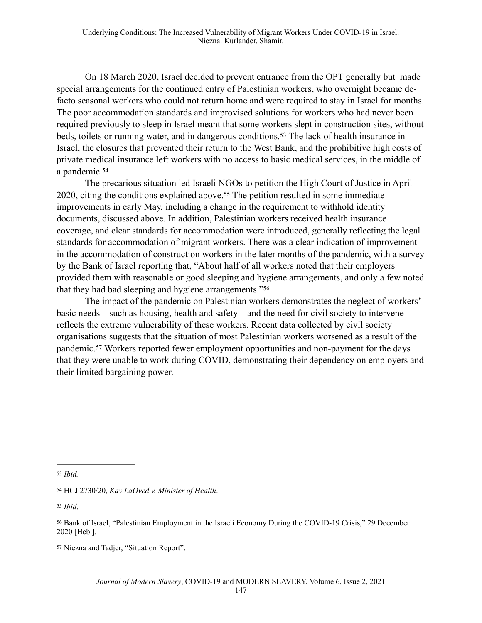On 18 March 2020, Israel decided to prevent entrance from the OPT generally but made special arrangements for the continued entry of Palestinian workers, who overnight became defacto seasonal workers who could not return home and were required to stay in Israel for months. The poor accommodation standards and improvised solutions for workers who had never been required previously to sleep in Israel meant that some workers slept in construction sites, without beds, toilets or running water, and in dangerous conditions.<sup>53</sup> The lack of health insurance in Israel, the closures that prevented their return to the West Bank, and the prohibitive high costs of private medical insurance left workers with no access to basic medical services, in the middle of a pandemic.54

The precarious situation led Israeli NGOs to petition the High Court of Justice in April  $2020$ , citing the conditions explained above.<sup>55</sup> The petition resulted in some immediate improvements in early May, including a change in the requirement to withhold identity documents, discussed above. In addition, Palestinian workers received health insurance coverage, and clear standards for accommodation were introduced, generally reflecting the legal standards for accommodation of migrant workers. There was a clear indication of improvement in the accommodation of construction workers in the later months of the pandemic, with a survey by the Bank of Israel reporting that, "About half of all workers noted that their employers provided them with reasonable or good sleeping and hygiene arrangements, and only a few noted that they had bad sleeping and hygiene arrangements."56

The impact of the pandemic on Palestinian workers demonstrates the neglect of workers' basic needs – such as housing, health and safety – and the need for civil society to intervene reflects the extreme vulnerability of these workers. Recent data collected by civil society organisations suggests that the situation of most Palestinian workers worsened as a result of the pandemic.<sup>57</sup> Workers reported fewer employment opportunities and non-payment for the days that they were unable to work during COVID, demonstrating their dependency on employers and their limited bargaining power.

*Ibid*. <sup>55</sup>

*Ibid.* <sup>53</sup>

HCJ 2730/20, *Kav LaOved v. Minister of Health*. <sup>54</sup>

<sup>&</sup>lt;sup>56</sup> Bank of Israel, "Palestinian Employment in the Israeli Economy During the COVID-19 Crisis," 29 December 2020 [Heb.].

<sup>&</sup>lt;sup>57</sup> Niezna and Tadjer, "Situation Report".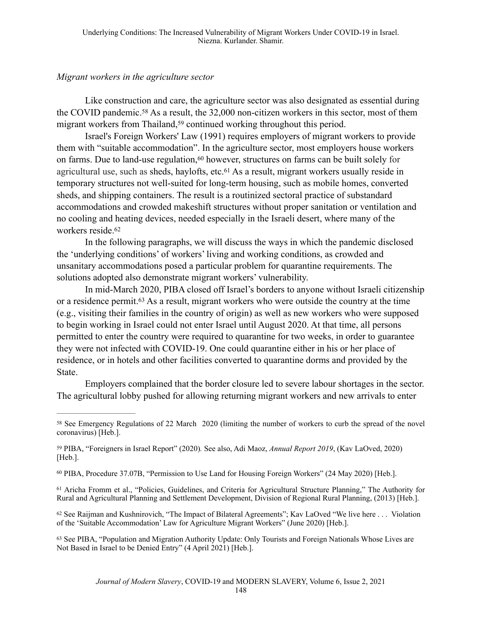#### *Migrant workers in the agriculture sector*

Like construction and care, the agriculture sector was also designated as essential during the COVID pandemic.<sup>58</sup> As a result, the  $32,000$  non-citizen workers in this sector, most of them migrant workers from Thailand,<sup>59</sup> continued working throughout this period.

Israel's Foreign Workers' Law (1991) requires employers of migrant workers to provide them with "suitable accommodation". In the agriculture sector, most employers house workers on farms. Due to land-use regulation,  $60$  however, structures on farms can be built solely for agricultural use, such as sheds, haylofts, etc.  $61$  As a result, migrant workers usually reside in temporary structures not well-suited for long-term housing, such as mobile homes, converted sheds, and shipping containers. The result is a routinized sectoral practice of substandard accommodations and crowded makeshift structures without proper sanitation or ventilation and no cooling and heating devices, needed especially in the Israeli desert, where many of the workers reside.62

In the following paragraphs, we will discuss the ways in which the pandemic disclosed the 'underlying conditions' of workers' living and working conditions, as crowded and unsanitary accommodations posed a particular problem for quarantine requirements. The solutions adopted also demonstrate migrant workers' vulnerability.

In mid-March 2020, PIBA closed off Israel's borders to anyone without Israeli citizenship or a residence permit.<sup> $63$ </sup> As a result, migrant workers who were outside the country at the time (e.g., visiting their families in the country of origin) as well as new workers who were supposed to begin working in Israel could not enter Israel until August 2020. At that time, all persons permitted to enter the country were required to quarantine for two weeks, in order to guarantee they were not infected with COVID-19. One could quarantine either in his or her place of residence, or in hotels and other facilities converted to quarantine dorms and provided by the State.

Employers complained that the border closure led to severe labour shortages in the sector. The agricultural lobby pushed for allowing returning migrant workers and new arrivals to enter

<sup>&</sup>lt;sup>58</sup> See Emergency Regulations of 22 March 2020 (limiting the number of workers to curb the spread of the novel coronavirus) [Heb.].

PIBA, "Foreigners in Israel Report" (2020)*.* See also, Adi Maoz, *Annual Report 2019*, (Kav LaOved, 2020) 59 [Heb.].

<sup>60</sup> PIBA, Procedure 37.07B, "Permission to Use Land for Housing Foreign Workers" (24 May 2020) [Heb.].

<sup>&</sup>lt;sup>61</sup> Aricha Fromm et al., "Policies, Guidelines, and Criteria for Agricultural Structure Planning," The Authority for Rural and Agricultural Planning and Settlement Development, Division of Regional Rural Planning, (2013) [Heb.].

 $62$  See Raijman and Kushnirovich, "The Impact of Bilateral Agreements"; Kav LaOved "We live here ... Violation of the 'Suitable Accommodation' Law for Agriculture Migrant Workers" (June 2020) [Heb.].

<sup>&</sup>lt;sup>63</sup> See PIBA, "Population and Migration Authority Update: Only Tourists and Foreign Nationals Whose Lives are Not Based in Israel to be Denied Entry" (4 April 2021) [Heb.].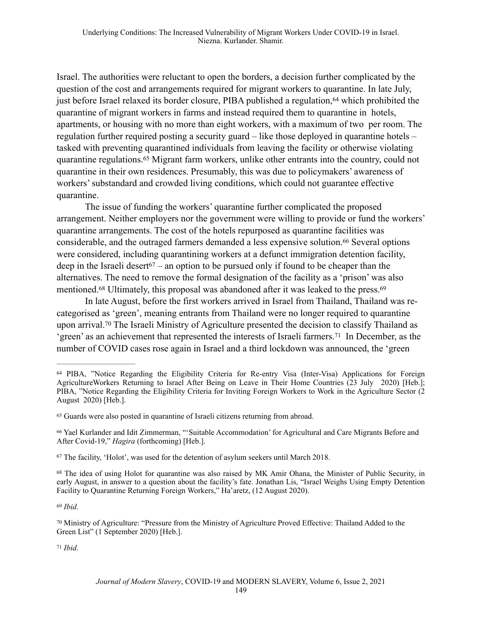Israel. The authorities were reluctant to open the borders, a decision further complicated by the question of the cost and arrangements required for migrant workers to quarantine. In late July, just before Israel relaxed its border closure, PIBA published a regulation, <sup>64</sup> which prohibited the quarantine of migrant workers in farms and instead required them to quarantine in hotels, apartments, or housing with no more than eight workers, with a maximum of two per room. The regulation further required posting a security guard – like those deployed in quarantine hotels – tasked with preventing quarantined individuals from leaving the facility or otherwise violating quarantine regulations.<sup>65</sup> Migrant farm workers, unlike other entrants into the country, could not quarantine in their own residences. Presumably, this was due to policymakers' awareness of workers' substandard and crowded living conditions, which could not guarantee effective quarantine.

The issue of funding the workers' quarantine further complicated the proposed arrangement. Neither employers nor the government were willing to provide or fund the workers' quarantine arrangements. The cost of the hotels repurposed as quarantine facilities was considerable, and the outraged farmers demanded a less expensive solution.<sup>66</sup> Several options were considered, including quarantining workers at a defunct immigration detention facility, deep in the Israeli desert<sup>67</sup> – an option to be pursued only if found to be cheaper than the alternatives. The need to remove the formal designation of the facility as a 'prison' was also mentioned.<sup>68</sup> Ultimately, this proposal was abandoned after it was leaked to the press.<sup>69</sup>

In late August, before the first workers arrived in Israel from Thailand, Thailand was recategorised as 'green', meaning entrants from Thailand were no longer required to quarantine upon arrival.<sup>70</sup> The Israeli Ministry of Agriculture presented the decision to classify Thailand as 'green' as an achievement that represented the interests of Israeli farmers.<sup>71</sup> In December, as the number of COVID cases rose again in Israel and a third lockdown was announced, the 'green

 $67$  The facility, 'Holot', was used for the detention of asylum seekers until March 2018.

<sup>68</sup> The idea of using Holot for quarantine was also raised by MK Amir Ohana, the Minister of Public Security, in early August, in answer to a question about the facility's fate. Jonathan Lis, "Israel Weighs Using Empty Detention Facility to Quarantine Returning Foreign Workers," Ha'aretz, (12 August 2020).

*Ibid*. 69

*Ibid*. <sup>71</sup>

<sup>&</sup>lt;sup>64</sup> PIBA, "Notice Regarding the Eligibility Criteria for Re-entry Visa (Inter-Visa) Applications for Foreign AgricultureWorkers Returning to Israel After Being on Leave in Their Home Countries (23 July 2020) [Heb.]; PIBA, "Notice Regarding the Eligibility Criteria for Inviting Foreign Workers to Work in the Agriculture Sector (2 August 2020) [Heb.].

<sup>&</sup>lt;sup>65</sup> Guards were also posted in quarantine of Israeli citizens returning from abroad.

Yael Kurlander and Idit Zimmerman, "'Suitable Accommodation' for Agricultural and Care Migrants Before and 66 After Covid-19," *Hagira* (forthcoming) [Heb.].

<sup>&</sup>lt;sup>70</sup> Ministry of Agriculture: "Pressure from the Ministry of Agriculture Proved Effective: Thailand Added to the Green List" (1 September 2020) [Heb.].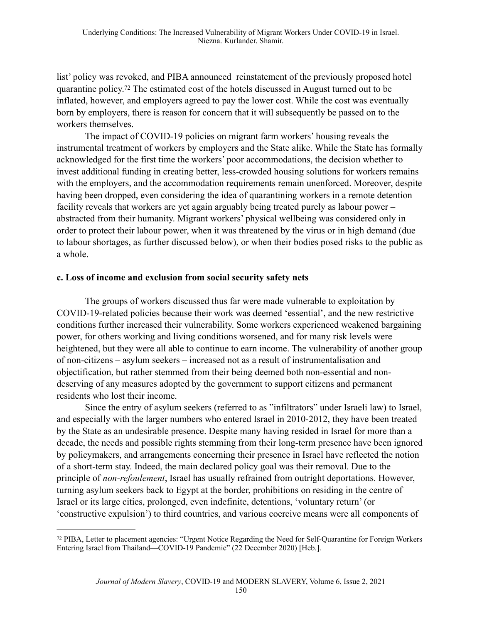list' policy was revoked, and PIBA announced reinstatement of the previously proposed hotel quarantine policy.<sup>72</sup> The estimated cost of the hotels discussed in August turned out to be inflated, however, and employers agreed to pay the lower cost. While the cost was eventually born by employers, there is reason for concern that it will subsequently be passed on to the workers themselves.

The impact of COVID-19 policies on migrant farm workers' housing reveals the instrumental treatment of workers by employers and the State alike. While the State has formally acknowledged for the first time the workers' poor accommodations, the decision whether to invest additional funding in creating better, less-crowded housing solutions for workers remains with the employers, and the accommodation requirements remain unenforced. Moreover, despite having been dropped, even considering the idea of quarantining workers in a remote detention facility reveals that workers are yet again arguably being treated purely as labour power – abstracted from their humanity. Migrant workers' physical wellbeing was considered only in order to protect their labour power, when it was threatened by the virus or in high demand (due to labour shortages, as further discussed below), or when their bodies posed risks to the public as a whole.

#### **c. Loss of income and exclusion from social security safety nets**

The groups of workers discussed thus far were made vulnerable to exploitation by COVID-19-related policies because their work was deemed 'essential', and the new restrictive conditions further increased their vulnerability. Some workers experienced weakened bargaining power, for others working and living conditions worsened, and for many risk levels were heightened, but they were all able to continue to earn income. The vulnerability of another group of non-citizens – asylum seekers – increased not as a result of instrumentalisation and objectification, but rather stemmed from their being deemed both non-essential and nondeserving of any measures adopted by the government to support citizens and permanent residents who lost their income.

Since the entry of asylum seekers (referred to as "infiltrators" under Israeli law) to Israel, and especially with the larger numbers who entered Israel in 2010-2012, they have been treated by the State as an undesirable presence. Despite many having resided in Israel for more than a decade, the needs and possible rights stemming from their long-term presence have been ignored by policymakers, and arrangements concerning their presence in Israel have reflected the notion of a short-term stay. Indeed, the main declared policy goal was their removal. Due to the principle of *non-refoulement*, Israel has usually refrained from outright deportations. However, turning asylum seekers back to Egypt at the border, prohibitions on residing in the centre of Israel or its large cities, prolonged, even indefinite, detentions, 'voluntary return' (or 'constructive expulsion') to third countries, and various coercive means were all components of

PIBA, Letter to placement agencies: "Urgent Notice Regarding the Need for Self-Quarantine for Foreign Workers 72 Entering Israel from Thailand—COVID-19 Pandemic" (22 December 2020) [Heb.].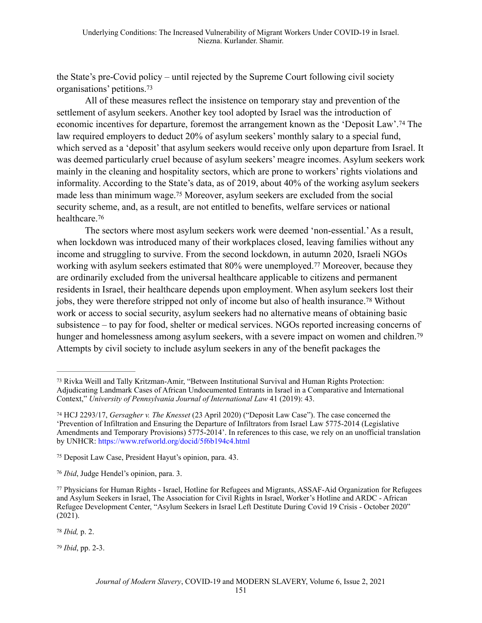the State's pre-Covid policy – until rejected by the Supreme Court following civil society organisations' petitions.73

All of these measures reflect the insistence on temporary stay and prevention of the settlement of asylum seekers. Another key tool adopted by Israel was the introduction of economic incentives for departure, foremost the arrangement known as the 'Deposit Law'.<sup>74</sup> The law required employers to deduct 20% of asylum seekers' monthly salary to a special fund, which served as a 'deposit' that asylum seekers would receive only upon departure from Israel. It was deemed particularly cruel because of asylum seekers' meagre incomes. Asylum seekers work mainly in the cleaning and hospitality sectors, which are prone to workers' rights violations and informality. According to the State's data, as of 2019, about 40% of the working asylum seekers made less than minimum wage.<sup>75</sup> Moreover, asylum seekers are excluded from the social security scheme, and, as a result, are not entitled to benefits, welfare services or national healthcare.76

The sectors where most asylum seekers work were deemed 'non-essential.' As a result, when lockdown was introduced many of their workplaces closed, leaving families without any income and struggling to survive. From the second lockdown, in autumn 2020, Israeli NGOs working with asylum seekers estimated that 80% were unemployed.<sup>77</sup> Moreover, because they are ordinarily excluded from the universal healthcare applicable to citizens and permanent residents in Israel, their healthcare depends upon employment. When asylum seekers lost their jobs, they were therefore stripped not only of income but also of health insurance.<sup>78</sup> Without work or access to social security, asylum seekers had no alternative means of obtaining basic subsistence – to pay for food, shelter or medical services. NGOs reported increasing concerns of hunger and homelessness among asylum seekers, with a severe impact on women and children.<sup>79</sup> Attempts by civil society to include asylum seekers in any of the benefit packages the

78 *Ibid*, p. 2.

*Ibid*, pp. 2-3. <sup>79</sup>

<sup>&</sup>lt;sup>73</sup> Rivka Weill and Tally Kritzman-Amir, "Between Institutional Survival and Human Rights Protection: Adjudicating Landmark Cases of African Undocumented Entrants in Israel in a Comparative and International Context," *University of Pennsylvania Journal of International Law* 41 (2019): 43.

HCJ 2293/17, *Gersagher v. The Knesset* (23 April 2020) ("Deposit Law Case"). The case concerned the 74 'Prevention of Infiltration and Ensuring the Departure of Infiltrators from Israel Law 5775-2014 (Legislative Amendments and Temporary Provisions) 5775-2014'. In references to this case, we rely on an unofficial translation by UNHCR: https://www.refworld.org/docid/5f6b194c4.html

Deposit Law Case, President Hayut's opinion, para. 43. 75

*Ibid*, Judge Hendel's opinion, para. 3. 76

Physicians for Human Rights - Israel, Hotline for Refugees and Migrants, ASSAF-Aid Organization for Refugees 77 and Asylum Seekers in Israel, The Association for Civil Rights in Israel, Worker's Hotline and ARDC - African Refugee Development Center, "Asylum Seekers in Israel Left Destitute During Covid 19 Crisis - October 2020" (2021).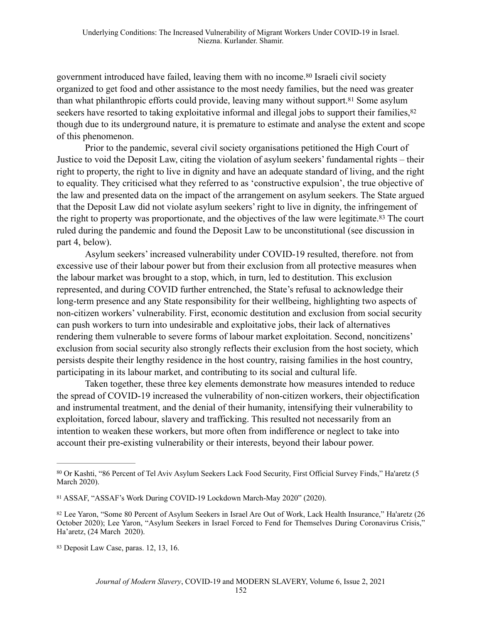government introduced have failed, leaving them with no income.<sup>80</sup> Israeli civil society organized to get food and other assistance to the most needy families, but the need was greater than what philanthropic efforts could provide, leaving many without support.<sup>81</sup> Some asylum seekers have resorted to taking exploitative informal and illegal jobs to support their families, <sup>82</sup> though due to its underground nature, it is premature to estimate and analyse the extent and scope of this phenomenon.

Prior to the pandemic, several civil society organisations petitioned the High Court of Justice to void the Deposit Law, citing the violation of asylum seekers' fundamental rights – their right to property, the right to live in dignity and have an adequate standard of living, and the right to equality. They criticised what they referred to as 'constructive expulsion', the true objective of the law and presented data on the impact of the arrangement on asylum seekers. The State argued that the Deposit Law did not violate asylum seekers' right to live in dignity, the infringement of the right to property was proportionate, and the objectives of the law were legitimate.<sup>83</sup> The court ruled during the pandemic and found the Deposit Law to be unconstitutional (see discussion in part 4, below).

Asylum seekers' increased vulnerability under COVID-19 resulted, therefore. not from excessive use of their labour power but from their exclusion from all protective measures when the labour market was brought to a stop, which, in turn, led to destitution. This exclusion represented, and during COVID further entrenched, the State's refusal to acknowledge their long-term presence and any State responsibility for their wellbeing, highlighting two aspects of non-citizen workers' vulnerability. First, economic destitution and exclusion from social security can push workers to turn into undesirable and exploitative jobs, their lack of alternatives rendering them vulnerable to severe forms of labour market exploitation. Second, noncitizens' exclusion from social security also strongly reflects their exclusion from the host society, which persists despite their lengthy residence in the host country, raising families in the host country, participating in its labour market, and contributing to its social and cultural life.

Taken together, these three key elements demonstrate how measures intended to reduce the spread of COVID-19 increased the vulnerability of non-citizen workers, their objectification and instrumental treatment, and the denial of their humanity, intensifying their vulnerability to exploitation, forced labour, slavery and trafficking. This resulted not necessarily from an intention to weaken these workers, but more often from indifference or neglect to take into account their pre-existing vulnerability or their interests, beyond their labour power.

Or Kashti, "86 Percent of Tel Aviv Asylum Seekers Lack Food Security, First Official Survey Finds," Ha'aretz (5 80 March 2020).

<sup>&</sup>lt;sup>81</sup> ASSAF, "ASSAF's Work During COVID-19 Lockdown March-May 2020" (2020).

<sup>82</sup> Lee Yaron, "Some 80 Percent of Asylum Seekers in Israel Are Out of Work, Lack Health Insurance," Ha'aretz (26 October 2020); Lee Yaron, "Asylum Seekers in Israel Forced to Fend for Themselves During Coronavirus Crisis," Ha'aretz, (24 March 2020).

<sup>83</sup> Deposit Law Case, paras. 12, 13, 16.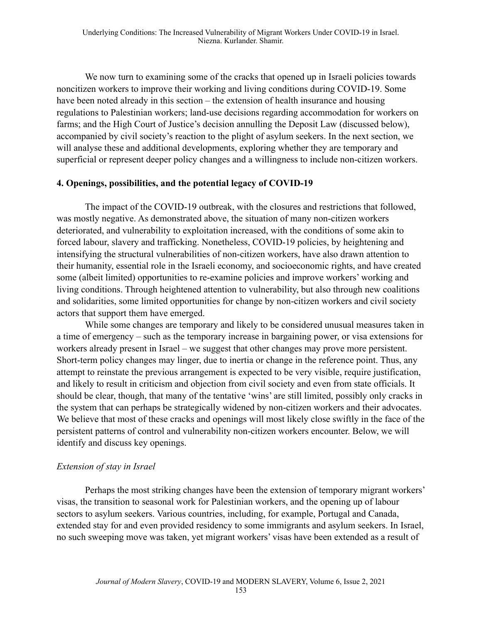We now turn to examining some of the cracks that opened up in Israeli policies towards noncitizen workers to improve their working and living conditions during COVID-19. Some have been noted already in this section – the extension of health insurance and housing regulations to Palestinian workers; land-use decisions regarding accommodation for workers on farms; and the High Court of Justice's decision annulling the Deposit Law (discussed below), accompanied by civil society's reaction to the plight of asylum seekers. In the next section, we will analyse these and additional developments, exploring whether they are temporary and superficial or represent deeper policy changes and a willingness to include non-citizen workers.

#### **4. Openings, possibilities, and the potential legacy of COVID-19**

The impact of the COVID-19 outbreak, with the closures and restrictions that followed, was mostly negative. As demonstrated above, the situation of many non-citizen workers deteriorated, and vulnerability to exploitation increased, with the conditions of some akin to forced labour, slavery and trafficking. Nonetheless, COVID-19 policies, by heightening and intensifying the structural vulnerabilities of non-citizen workers, have also drawn attention to their humanity, essential role in the Israeli economy, and socioeconomic rights, and have created some (albeit limited) opportunities to re-examine policies and improve workers' working and living conditions. Through heightened attention to vulnerability, but also through new coalitions and solidarities, some limited opportunities for change by non-citizen workers and civil society actors that support them have emerged.

While some changes are temporary and likely to be considered unusual measures taken in a time of emergency – such as the temporary increase in bargaining power, or visa extensions for workers already present in Israel – we suggest that other changes may prove more persistent. Short-term policy changes may linger, due to inertia or change in the reference point. Thus, any attempt to reinstate the previous arrangement is expected to be very visible, require justification, and likely to result in criticism and objection from civil society and even from state officials. It should be clear, though, that many of the tentative 'wins' are still limited, possibly only cracks in the system that can perhaps be strategically widened by non-citizen workers and their advocates. We believe that most of these cracks and openings will most likely close swiftly in the face of the persistent patterns of control and vulnerability non-citizen workers encounter. Below, we will identify and discuss key openings.

#### *Extension of stay in Israel*

Perhaps the most striking changes have been the extension of temporary migrant workers' visas, the transition to seasonal work for Palestinian workers, and the opening up of labour sectors to asylum seekers. Various countries, including, for example, Portugal and Canada, extended stay for and even provided residency to some immigrants and asylum seekers. In Israel, no such sweeping move was taken, yet migrant workers' visas have been extended as a result of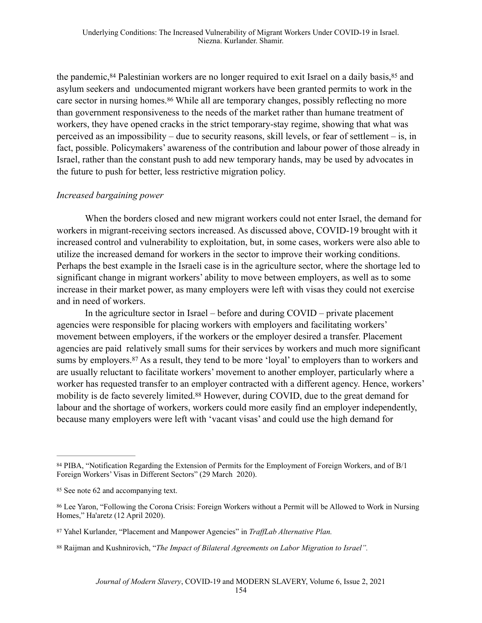the pandemic, <sup>84</sup> Palestinian workers are no longer required to exit Israel on a daily basis, <sup>85</sup> and asylum seekers and undocumented migrant workers have been granted permits to work in the care sector in nursing homes.<sup>86</sup> While all are temporary changes, possibly reflecting no more than government responsiveness to the needs of the market rather than humane treatment of workers, they have opened cracks in the strict temporary-stay regime, showing that what was perceived as an impossibility – due to security reasons, skill levels, or fear of settlement – is, in fact, possible. Policymakers' awareness of the contribution and labour power of those already in Israel, rather than the constant push to add new temporary hands, may be used by advocates in the future to push for better, less restrictive migration policy.

#### *Increased bargaining power*

When the borders closed and new migrant workers could not enter Israel, the demand for workers in migrant-receiving sectors increased. As discussed above, COVID-19 brought with it increased control and vulnerability to exploitation, but, in some cases, workers were also able to utilize the increased demand for workers in the sector to improve their working conditions. Perhaps the best example in the Israeli case is in the agriculture sector, where the shortage led to significant change in migrant workers' ability to move between employers, as well as to some increase in their market power, as many employers were left with visas they could not exercise and in need of workers.

In the agriculture sector in Israel – before and during COVID – private placement agencies were responsible for placing workers with employers and facilitating workers' movement between employers, if the workers or the employer desired a transfer. Placement agencies are paid relatively small sums for their services by workers and much more significant sums by employers. <sup>87</sup> As a result, they tend to be more 'loyal' to employers than to workers and are usually reluctant to facilitate workers' movement to another employer, particularly where a worker has requested transfer to an employer contracted with a different agency. Hence, workers' mobility is de facto severely limited.<sup>88</sup> However, during COVID, due to the great demand for labour and the shortage of workers, workers could more easily find an employer independently, because many employers were left with 'vacant visas' and could use the high demand for

<sup>84</sup> PIBA, "Notification Regarding the Extension of Permits for the Employment of Foreign Workers, and of B/1 Foreign Workers' Visas in Different Sectors" (29 March 2020).

<sup>85</sup> See note 62 and accompanying text.

Lee Yaron, "Following the Corona Crisis: Foreign Workers without a Permit will be Allowed to Work in Nursing 86 Homes," Ha'aretz (12 April 2020).

Yahel Kurlander, "Placement and Manpower Agencies" in *TraffLab Alternative Plan.* <sup>87</sup>

Raijman and Kushnirovich, "*The Impact of Bilateral Agreements on Labor Migration to Israel".* <sup>88</sup>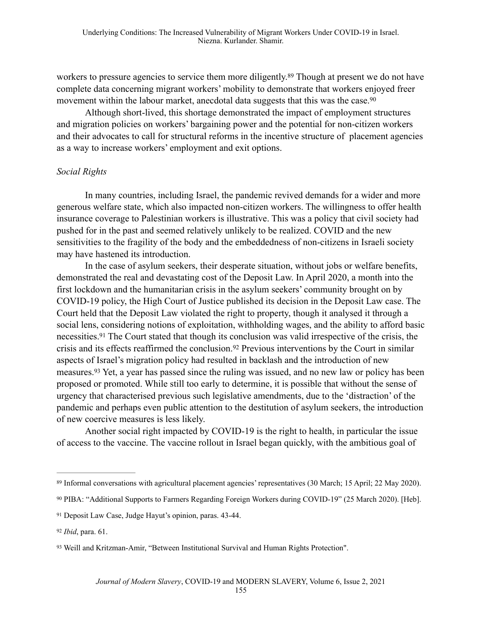workers to pressure agencies to service them more diligently.<sup>89</sup> Though at present we do not have complete data concerning migrant workers' mobility to demonstrate that workers enjoyed freer movement within the labour market, anecdotal data suggests that this was the case.<sup>90</sup>

Although short-lived, this shortage demonstrated the impact of employment structures and migration policies on workers' bargaining power and the potential for non-citizen workers and their advocates to call for structural reforms in the incentive structure of placement agencies as a way to increase workers' employment and exit options.

#### *Social Rights*

In many countries, including Israel, the pandemic revived demands for a wider and more generous welfare state, which also impacted non-citizen workers. The willingness to offer health insurance coverage to Palestinian workers is illustrative. This was a policy that civil society had pushed for in the past and seemed relatively unlikely to be realized. COVID and the new sensitivities to the fragility of the body and the embeddedness of non-citizens in Israeli society may have hastened its introduction.

In the case of asylum seekers, their desperate situation, without jobs or welfare benefits, demonstrated the real and devastating cost of the Deposit Law. In April 2020, a month into the first lockdown and the humanitarian crisis in the asylum seekers' community brought on by COVID-19 policy, the High Court of Justice published its decision in the Deposit Law case. The Court held that the Deposit Law violated the right to property, though it analysed it through a social lens, considering notions of exploitation, withholding wages, and the ability to afford basic necessities.<sup>91</sup> The Court stated that though its conclusion was valid irrespective of the crisis, the crisis and its effects reaffirmed the conclusion.<sup>92</sup> Previous interventions by the Court in similar aspects of Israel's migration policy had resulted in backlash and the introduction of new measures.<sup>93</sup> Yet, a year has passed since the ruling was issued, and no new law or policy has been proposed or promoted. While still too early to determine, it is possible that without the sense of urgency that characterised previous such legislative amendments, due to the 'distraction' of the pandemic and perhaps even public attention to the destitution of asylum seekers, the introduction of new coercive measures is less likely.

Another social right impacted by COVID-19 is the right to health, in particular the issue of access to the vaccine. The vaccine rollout in Israel began quickly, with the ambitious goal of

<sup>&</sup>lt;sup>89</sup> Informal conversations with agricultural placement agencies' representatives (30 March; 15 April; 22 May 2020).

PIBA: "Additional Supports to Farmers Regarding Foreign Workers during COVID-19" (25 March 2020). [Heb]. <sup>90</sup>

<sup>&</sup>lt;sup>91</sup> Deposit Law Case, Judge Hayut's opinion, paras. 43-44.

<sup>92</sup> *Ibid*, para. 61.

<sup>93</sup> Weill and Kritzman-Amir, "Between Institutional Survival and Human Rights Protection".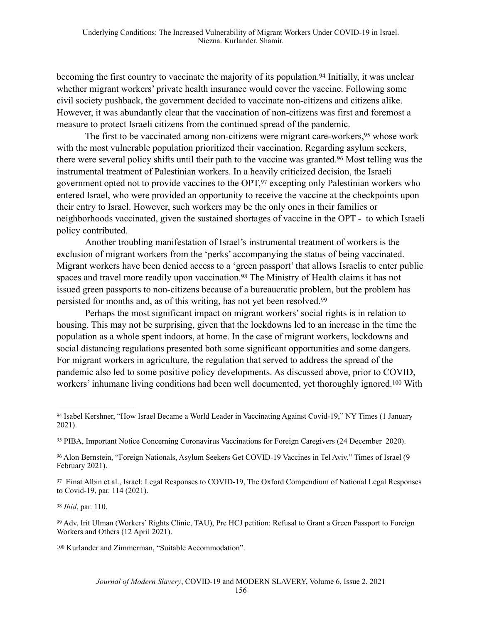becoming the first country to vaccinate the majority of its population.<sup>94</sup> Initially, it was unclear whether migrant workers' private health insurance would cover the vaccine. Following some civil society pushback, the government decided to vaccinate non-citizens and citizens alike. However, it was abundantly clear that the vaccination of non-citizens was first and foremost a measure to protect Israeli citizens from the continued spread of the pandemic.

The first to be vaccinated among non-citizens were migrant care-workers,<sup>95</sup> whose work with the most vulnerable population prioritized their vaccination. Regarding asylum seekers, there were several policy shifts until their path to the vaccine was granted.<sup>96</sup> Most telling was the instrumental treatment of Palestinian workers. In a heavily criticized decision, the Israeli government opted not to provide vaccines to the OPT, $97$  excepting only Palestinian workers who entered Israel, who were provided an opportunity to receive the vaccine at the checkpoints upon their entry to Israel. However, such workers may be the only ones in their families or neighborhoods vaccinated, given the sustained shortages of vaccine in the OPT - to which Israeli policy contributed.

Another troubling manifestation of Israel's instrumental treatment of workers is the exclusion of migrant workers from the 'perks' accompanying the status of being vaccinated. Migrant workers have been denied access to a 'green passport' that allows Israelis to enter public spaces and travel more readily upon vaccination.<sup>98</sup> The Ministry of Health claims it has not issued green passports to non-citizens because of a bureaucratic problem, but the problem has persisted for months and, as of this writing, has not yet been resolved.99

Perhaps the most significant impact on migrant workers' social rights is in relation to housing. This may not be surprising, given that the lockdowns led to an increase in the time the population as a whole spent indoors, at home. In the case of migrant workers, lockdowns and social distancing regulations presented both some significant opportunities and some dangers. For migrant workers in agriculture, the regulation that served to address the spread of the pandemic also led to some positive policy developments. As discussed above, prior to COVID, workers' inhumane living conditions had been well documented, yet thoroughly ignored.<sup>100</sup> With

<sup>98</sup> *Ibid*, par. 110.

<sup>&</sup>lt;sup>94</sup> Isabel Kershner, "How Israel Became a World Leader in Vaccinating Against Covid-19," NY Times (1 January 2021).

<sup>95</sup> PIBA, Important Notice Concerning Coronavirus Vaccinations for Foreign Caregivers (24 December 2020).

Alon Bernstein, "Foreign Nationals, Asylum Seekers Get COVID-19 Vaccines in Tel Aviv," Times of Israel (9 96 February 2021).

<sup>&</sup>lt;sup>97</sup> Einat Albin et al., Israel: Legal Responses to COVID-19, The Oxford Compendium of National Legal Responses to Covid-19, par. 114 (2021).

<sup>&</sup>lt;sup>99</sup> Adv. Irit Ulman (Workers' Rights Clinic, TAU), Pre HCJ petition: Refusal to Grant a Green Passport to Foreign Workers and Others (12 April 2021).

<sup>&</sup>lt;sup>100</sup> Kurlander and Zimmerman, "Suitable Accommodation".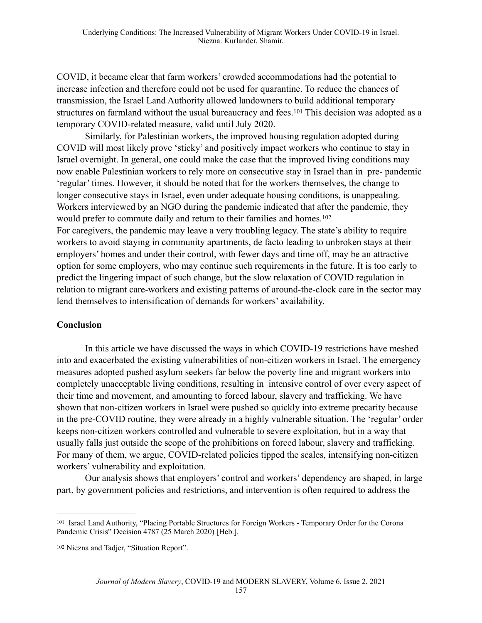COVID, it became clear that farm workers' crowded accommodations had the potential to increase infection and therefore could not be used for quarantine. To reduce the chances of transmission, the Israel Land Authority allowed landowners to build additional temporary structures on farmland without the usual bureaucracy and fees.<sup>101</sup> This decision was adopted as a temporary COVID-related measure, valid until July 2020.

Similarly, for Palestinian workers, the improved housing regulation adopted during COVID will most likely prove 'sticky' and positively impact workers who continue to stay in Israel overnight. In general, one could make the case that the improved living conditions may now enable Palestinian workers to rely more on consecutive stay in Israel than in pre- pandemic 'regular' times. However, it should be noted that for the workers themselves, the change to longer consecutive stays in Israel, even under adequate housing conditions, is unappealing. Workers interviewed by an NGO during the pandemic indicated that after the pandemic, they would prefer to commute daily and return to their families and homes.102

For caregivers, the pandemic may leave a very troubling legacy. The state's ability to require workers to avoid staying in community apartments, de facto leading to unbroken stays at their employers' homes and under their control, with fewer days and time off, may be an attractive option for some employers, who may continue such requirements in the future. It is too early to predict the lingering impact of such change, but the slow relaxation of COVID regulation in relation to migrant care-workers and existing patterns of around-the-clock care in the sector may lend themselves to intensification of demands for workers' availability.

#### **Conclusion**

In this article we have discussed the ways in which COVID-19 restrictions have meshed into and exacerbated the existing vulnerabilities of non-citizen workers in Israel. The emergency measures adopted pushed asylum seekers far below the poverty line and migrant workers into completely unacceptable living conditions, resulting in intensive control of over every aspect of their time and movement, and amounting to forced labour, slavery and trafficking. We have shown that non-citizen workers in Israel were pushed so quickly into extreme precarity because in the pre-COVID routine, they were already in a highly vulnerable situation. The 'regular' order keeps non-citizen workers controlled and vulnerable to severe exploitation, but in a way that usually falls just outside the scope of the prohibitions on forced labour, slavery and trafficking. For many of them, we argue, COVID-related policies tipped the scales, intensifying non-citizen workers' vulnerability and exploitation.

Our analysis shows that employers' control and workers' dependency are shaped, in large part, by government policies and restrictions, and intervention is often required to address the

<sup>&</sup>lt;sup>101</sup> Israel Land Authority, "Placing Portable Structures for Foreign Workers - Temporary Order for the Corona Pandemic Crisis" Decision 4787 (25 March 2020) [Heb.].

<sup>&</sup>lt;sup>102</sup> Niezna and Tadjer, "Situation Report".